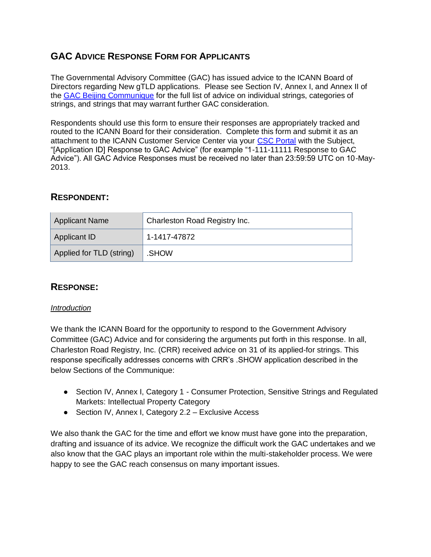# **GAC ADVICE RESPONSE FORM FOR APPLICANTS**

The Governmental Advisory Committee (GAC) has issued advice to the ICANN Board of Directors regarding New gTLD applications. Please see Section IV, Annex I, and Annex II of the [GAC Beijing Communique](http://www.icann.org/en/news/correspondence/gac-to-board-18apr13-en.pdf) for the full list of advice on individual strings, categories of strings, and strings that may warrant further GAC consideration.

Respondents should use this form to ensure their responses are appropriately tracked and routed to the ICANN Board for their consideration. Complete this form and submit it as an attachment to the ICANN Customer Service Center via your [CSC Portal](https://myicann.secure.force.com/) with the Subject, "[Application ID] Response to GAC Advice" (for example "1-111-11111 Response to GAC Advice"). All GAC Advice Responses must be received no later than 23:59:59 UTC on 10-May-2013.

## **RESPONDENT:**

| <b>Applicant Name</b>    | Charleston Road Registry Inc. |
|--------------------------|-------------------------------|
| Applicant ID             | 1-1417-47872                  |
| Applied for TLD (string) | .SHOW                         |

### **RESPONSE:**

#### *Introduction*

We thank the ICANN Board for the opportunity to respond to the Government Advisory Committee (GAC) Advice and for considering the arguments put forth in this response. In all, Charleston Road Registry, Inc. (CRR) received advice on 31 of its applied-for strings. This response specifically addresses concerns with CRR's .SHOW application described in the below Sections of the Communique:

- Section IV, Annex I, Category 1 Consumer Protection, Sensitive Strings and Regulated Markets: Intellectual Property Category
- Section IV, Annex I, Category 2.2 Exclusive Access

We also thank the GAC for the time and effort we know must have gone into the preparation, drafting and issuance of its advice. We recognize the difficult work the GAC undertakes and we also know that the GAC plays an important role within the multi-stakeholder process. We were happy to see the GAC reach consensus on many important issues.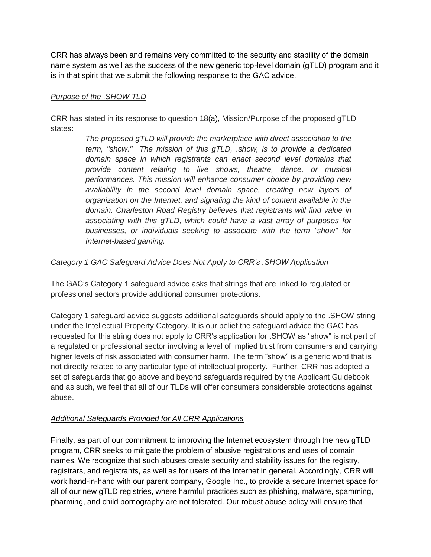CRR has always been and remains very committed to the security and stability of the domain name system as well as the success of the new generic top-level domain (gTLD) program and it is in that spirit that we submit the following response to the GAC advice.

#### *Purpose of the .SHOW TLD*

CRR has stated in its response to question 18(a), Mission/Purpose of the proposed gTLD states:

> *The proposed gTLD will provide the marketplace with direct association to the term, "show." The mission of this gTLD, .show, is to provide a dedicated domain space in which registrants can enact second level domains that provide content relating to live shows, theatre, dance, or musical performances. This mission will enhance consumer choice by providing new availability in the second level domain space, creating new layers of organization on the Internet, and signaling the kind of content available in the domain. Charleston Road Registry believes that registrants will find value in associating with this gTLD, which could have a vast array of purposes for businesses, or individuals seeking to associate with the term "show" for Internet-based gaming.*

#### *Category 1 GAC Safeguard Advice Does Not Apply to CRR's .SHOW Application*

The GAC's Category 1 safeguard advice asks that strings that are linked to regulated or professional sectors provide additional consumer protections.

Category 1 safeguard advice suggests additional safeguards should apply to the .SHOW string under the Intellectual Property Category. It is our belief the safeguard advice the GAC has requested for this string does not apply to CRR's application for .SHOW as "show" is not part of a regulated or professional sector involving a level of implied trust from consumers and carrying higher levels of risk associated with consumer harm. The term "show" is a generic word that is not directly related to any particular type of intellectual property. Further, CRR has adopted a set of safeguards that go above and beyond safeguards required by the Applicant Guidebook and as such, we feel that all of our TLDs will offer consumers considerable protections against abuse.

#### *Additional Safeguards Provided for All CRR Applications*

Finally, as part of our commitment to improving the Internet ecosystem through the new gTLD program, CRR seeks to mitigate the problem of abusive registrations and uses of domain names. We recognize that such abuses create security and stability issues for the registry, registrars, and registrants, as well as for users of the Internet in general. Accordingly, CRR will work hand-in-hand with our parent company, Google Inc., to provide a secure Internet space for all of our new gTLD registries, where harmful practices such as phishing, malware, spamming, pharming, and child pornography are not tolerated. Our robust abuse policy will ensure that